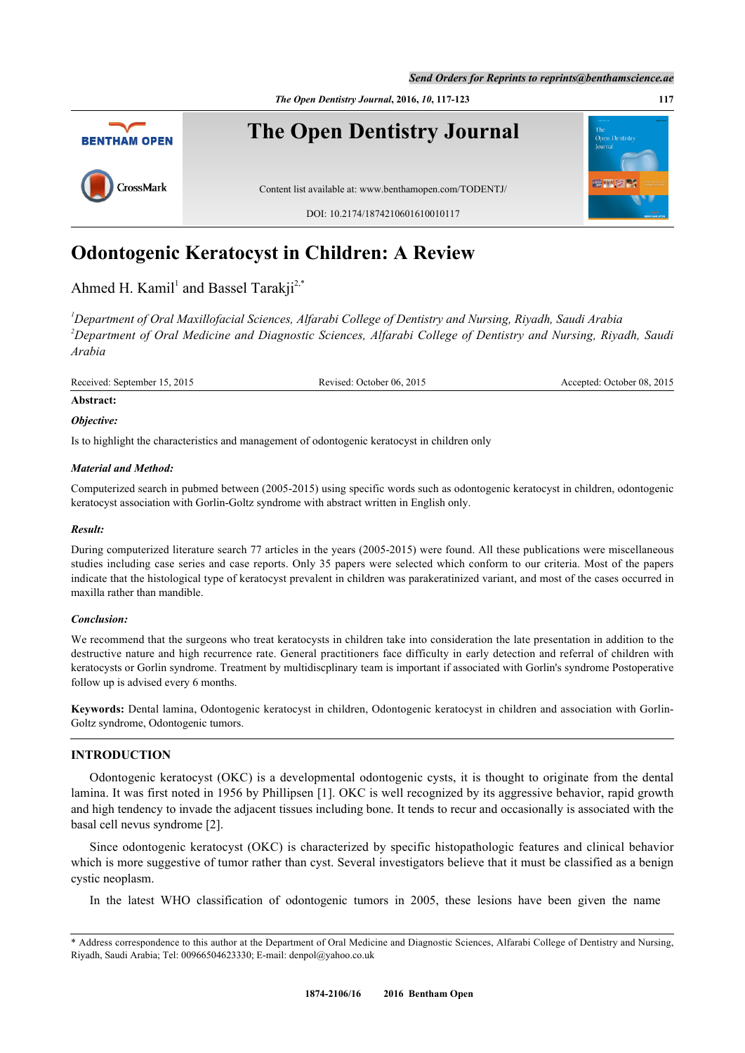*Send Orders for Reprints to reprints@benthamscience.ae*

*The Open Dentistry Journal***, 2016,** *10***, 117-123 117**



# **Odontogenic Keratocyst in Children: A Review**

Ahmed H. Kamil<sup>[1](#page-0-0)</sup> and Bassel Tarakji<sup>[2,](#page-0-1)[\\*](#page-0-2)</sup>

<span id="page-0-1"></span><span id="page-0-0"></span>*<sup>1</sup>Department of Oral Maxillofacial Sciences, Alfarabi College of Dentistry and Nursing, Riyadh, Saudi Arabia <sup>2</sup>Department of Oral Medicine and Diagnostic Sciences, Alfarabi College of Dentistry and Nursing, Riyadh, Saudi Arabia*

Received: September 15, 2015 Revised: October 06, 2015 Accepted: October 08, 2015

# **Abstract:**

*Objective:*

Is to highlight the characteristics and management of odontogenic keratocyst in children only

# *Material and Method:*

Computerized search in pubmed between (2005-2015) using specific words such as odontogenic keratocyst in children, odontogenic keratocyst association with Gorlin-Goltz syndrome with abstract written in English only.

# *Result:*

During computerized literature search 77 articles in the years (2005-2015) were found. All these publications were miscellaneous studies including case series and case reports. Only 35 papers were selected which conform to our criteria. Most of the papers indicate that the histological type of keratocyst prevalent in children was parakeratinized variant, and most of the cases occurred in maxilla rather than mandible.

# *Conclusion:*

We recommend that the surgeons who treat keratocysts in children take into consideration the late presentation in addition to the destructive nature and high recurrence rate. General practitioners face difficulty in early detection and referral of children with keratocysts or Gorlin syndrome. Treatment by multidiscplinary team is important if associated with Gorlin's syndrome Postoperative follow up is advised every 6 months.

**Keywords:** Dental lamina, Odontogenic keratocyst in children, Odontogenic keratocyst in children and association with Gorlin-Goltz syndrome, Odontogenic tumors.

# **INTRODUCTION**

Odontogenic keratocyst (OKC) is a developmental odontogenic cysts, it is thought to originate from the dental lamina. It was first noted in 1956 by Phillipsen [[1](#page-4-0)]. OKC is well recognized by its aggressive behavior, rapid growth and high tendency to invade the adjacent tissues including bone. It tends to recur and occasionally is associated with the basal cell nevus syndrome [[2\]](#page-4-1).

Since odontogenic keratocyst (OKC) is characterized by specific histopathologic features and clinical behavior which is more suggestive of tumor rather than cyst. Several investigators believe that it must be classified as a benign cystic neoplasm.

In the latest WHO classification of odontogenic tumors in 2005, these lesions have been given the name

<span id="page-0-2"></span><sup>\*</sup> Address correspondence to this author at the Department of Oral Medicine and Diagnostic Sciences, Alfarabi College of Dentistry and Nursing, Riyadh, Saudi Arabia; Tel: 00966504623330; E-mail: [denpol@yahoo.co.uk](mailto:denpol@yahoo.co.uk)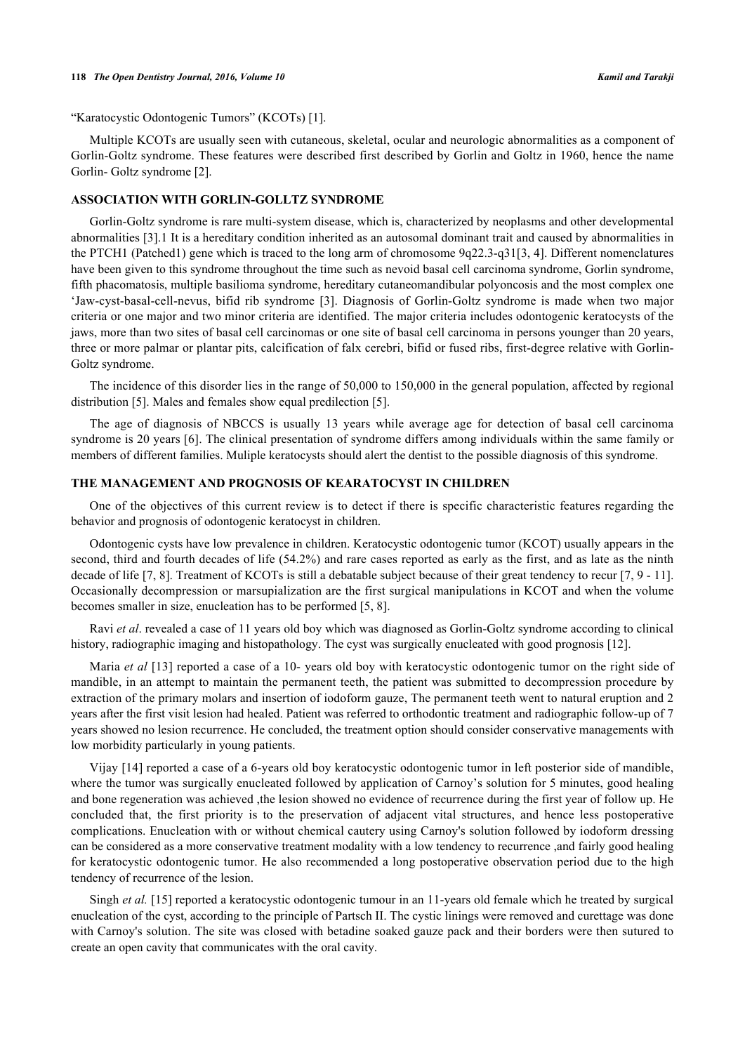### **118** *The Open Dentistry Journal, 2016, Volume 10 Kamil and Tarakji*

"Karatocystic Odontogenic Tumors" (KCOTs) [[1\]](#page-4-0).

Multiple KCOTs are usually seen with cutaneous, skeletal, ocular and neurologic abnormalities as a component of Gorlin-Goltz syndrome. These features were described first described by Gorlin and Goltz in 1960, hence the name Gorlin- Goltz syndrome [[2\]](#page-4-1).

# **ASSOCIATION WITH GORLIN-GOLLTZ SYNDROME**

Gorlin-Goltz syndrome is rare multi-system disease, which is, characterized by neoplasms and other developmental abnormalities [[3\]](#page-4-2).1 It is a hereditary condition inherited as an autosomal dominant trait and caused by abnormalities in the PTCH1 (Patched1) gene which is traced to the long arm of chromosome 9q22.3-q31[\[3](#page-4-2), [4\]](#page-4-3). Different nomenclatures have been given to this syndrome throughout the time such as nevoid basal cell carcinoma syndrome, Gorlin syndrome, fifth phacomatosis, multiple basilioma syndrome, hereditary cutaneomandibular polyoncosis and the most complex one 'Jaw-cyst-basal-cell-nevus, bifid rib syndrome[[3](#page-4-2)]. Diagnosis of Gorlin-Goltz syndrome is made when two major criteria or one major and two minor criteria are identified. The major criteria includes odontogenic keratocysts of the jaws, more than two sites of basal cell carcinomas or one site of basal cell carcinoma in persons younger than 20 years, three or more palmar or plantar pits, calcification of falx cerebri, bifid or fused ribs, first-degree relative with Gorlin-Goltz syndrome.

The incidence of this disorder lies in the range of 50,000 to 150,000 in the general population, affected by regional distribution [[5\]](#page-4-4). Males and females show equal predilection [[5\]](#page-4-4).

The age of diagnosis of NBCCS is usually 13 years while average age for detection of basal cell carcinoma syndrome is 20 years [\[6\]](#page-4-5). The clinical presentation of syndrome differs among individuals within the same family or members of different families. Muliple keratocysts should alert the dentist to the possible diagnosis of this syndrome.

# **THE MANAGEMENT AND PROGNOSIS OF KEARATOCYST IN CHILDREN**

One of the objectives of this current review is to detect if there is specific characteristic features regarding the behavior and prognosis of odontogenic keratocyst in children.

Odontogenic cysts have low prevalence in children. Keratocystic odontogenic tumor (KCOT) usually appears in the second, third and fourth decades of life (54.2%) and rare cases reported as early as the first, and as late as the ninth decade of life [\[7](#page-4-6), [8](#page-4-7)]. Treatment of KCOTs is still a debatable subject because of their great tendency to recur [\[7](#page-4-6), [9](#page-4-8) - [11\]](#page-4-9). Occasionally decompression or marsupialization are the first surgical manipulations in KCOT and when the volume becomes smaller in size, enucleation has to be performed [\[5](#page-4-4), [8](#page-4-7)].

Ravi *et al*. revealed a case of 11 years old boy which was diagnosed as Gorlin-Goltz syndrome according to clinical history, radiographic imaging and histopathology. The cyst was surgically enucleated with good prognosis [[12\]](#page-4-10).

Maria *et al* [[13\]](#page-5-0) reported a case of a 10- years old boy with keratocystic odontogenic tumor on the right side of mandible, in an attempt to maintain the permanent teeth, the patient was submitted to decompression procedure by extraction of the primary molars and insertion of iodoform gauze, The permanent teeth went to natural eruption and 2 years after the first visit lesion had healed. Patient was referred to orthodontic treatment and radiographic follow-up of 7 years showed no lesion recurrence. He concluded, the treatment option should consider conservative managements with low morbidity particularly in young patients.

Vijay [[14\]](#page-5-1) reported a case of a 6-years old boy keratocystic odontogenic tumor in left posterior side of mandible, where the tumor was surgically enucleated followed by application of Carnoy's solution for 5 minutes, good healing and bone regeneration was achieved ,the lesion showed no evidence of recurrence during the first year of follow up. He concluded that, the first priority is to the preservation of adjacent vital structures, and hence less postoperative complications. Enucleation with or without chemical cautery using Carnoy's solution followed by iodoform dressing can be considered as a more conservative treatment modality with a low tendency to recurrence ,and fairly good healing for keratocystic odontogenic tumor. He also recommended a long postoperative observation period due to the high tendency of recurrence of the lesion.

Singh *et al.* [\[15](#page-5-2)] reported a keratocystic odontogenic tumour in an 11-years old female which he treated by surgical enucleation of the cyst, according to the principle of Partsch II. The cystic linings were removed and curettage was done with Carnoy's solution. The site was closed with betadine soaked gauze pack and their borders were then sutured to create an open cavity that communicates with the oral cavity.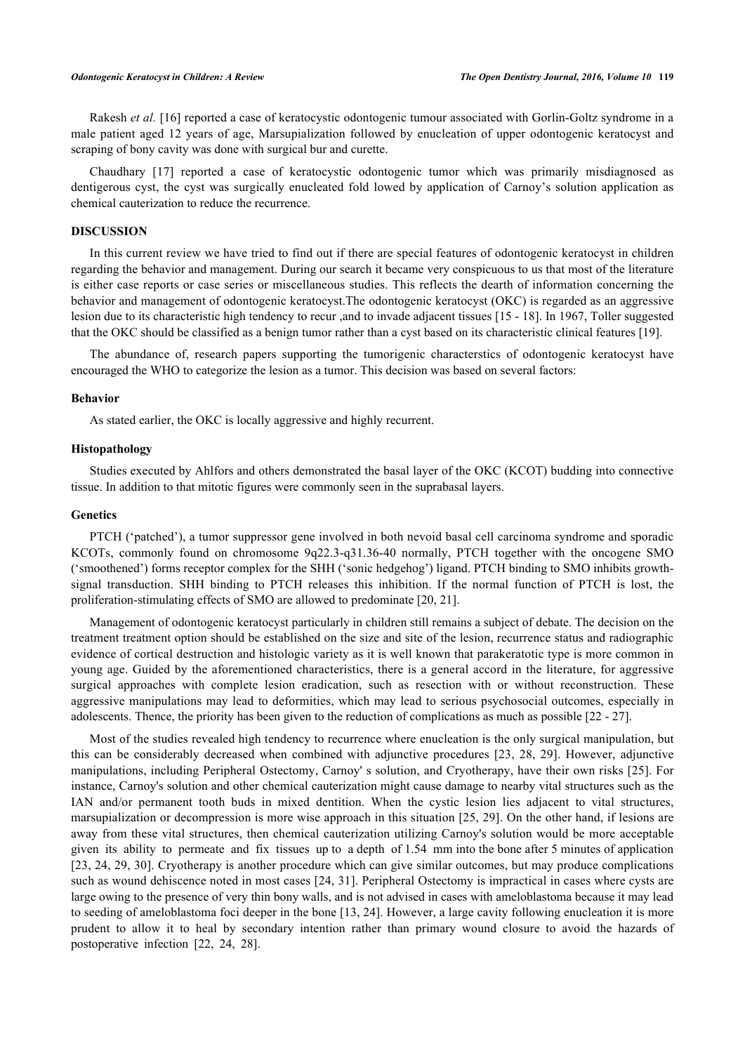Rakesh *et al.* [\[16](#page-5-3)] reported a case of keratocystic odontogenic tumour associated with Gorlin-Goltz syndrome in a male patient aged 12 years of age, Marsupialization followed by enucleation of upper odontogenic keratocyst and scraping of bony cavity was done with surgical bur and curette.

Chaudhary [\[17\]](#page-5-4) reported a case of keratocystic odontogenic tumor which was primarily misdiagnosed as dentigerous cyst, the cyst was surgically enucleated fold lowed by application of Carnoy's solution application as chemical cauterization to reduce the recurrence.

# **DISCUSSION**

In this current review we have tried to find out if there are special features of odontogenic keratocyst in children regarding the behavior and management. During our search it became very conspicuous to us that most of the literature is either case reports or case series or miscellaneous studies. This reflects the dearth of information concerning the behavior and management of odontogenic keratocyst.The odontogenic keratocyst (OKC) is regarded as an aggressive lesion due to its characteristic high tendency to recur ,and to invade adjacent tissues [\[15](#page-5-2) - [18\]](#page-5-5). In 1967, Toller suggested that the OKC should be classified as a benign tumor rather than a cyst based on its characteristic clinical features [[19\]](#page-5-6).

The abundance of, research papers supporting the tumorigenic characterstics of odontogenic keratocyst have encouraged the WHO to categorize the lesion as a tumor. This decision was based on several factors:

#### **Behavior**

As stated earlier, the OKC is locally aggressive and highly recurrent.

# **Histopathology**

Studies executed by Ahlfors and others demonstrated the basal layer of the OKC (KCOT) budding into connective tissue. In addition to that mitotic figures were commonly seen in the suprabasal layers.

# **Genetics**

PTCH ('patched'), a tumor suppressor gene involved in both nevoid basal cell carcinoma syndrome and sporadic KCOTs, commonly found on chromosome 9q22.3-q31.36-40 normally, PTCH together with the oncogene SMO ('smoothened') forms receptor complex for the SHH ('sonic hedgehog') ligand. PTCH binding to SMO inhibits growthsignal transduction. SHH binding to PTCH releases this inhibition. If the normal function of PTCH is lost, the proliferation-stimulating effects of SMO are allowed to predominate [[20,](#page-5-7) [21\]](#page-5-8).

Management of odontogenic keratocyst particularly in children still remains a subject of debate. The decision on the treatment treatment option should be established on the size and site of the lesion, recurrence status and radiographic evidence of cortical destruction and histologic variety as it is well known that parakeratotic type is more common in young age. Guided by the aforementioned characteristics, there is a general accord in the literature, for aggressive surgical approaches with complete lesion eradication, such as resection with or without reconstruction. These aggressive manipulations may lead to deformities, which may lead to serious psychosocial outcomes, especially in adolescents. Thence, the priority has been given to the reduction of complications as much as possible [\[22](#page-5-9) - [27](#page-5-10)].

Most of the studies revealed high tendency to recurrence where enucleation is the only surgical manipulation, but this can be considerably decreased when combined with adjunctive procedures[[23,](#page-5-11) [28](#page-5-12), [29](#page-5-13)]. However, adjunctive manipulations, including Peripheral Ostectomy, Carnoy' s solution, and Cryotherapy, have their own risks [[25](#page-5-14)]. For instance, Carnoy's solution and other chemical cauterization might cause damage to nearby vital structures such as the IAN and/or permanent tooth buds in mixed dentition. When the cystic lesion lies adjacent to vital structures, marsupialization or decompression is more wise approach in this situation [[25](#page-5-14), [29](#page-5-13)]. On the other hand, if lesions are away from these vital structures, then chemical cauterization utilizing Carnoy's solution would be more acceptable given its ability to permeate and fix tissues up to a depth of 1.54 mm into the bone after 5 minutes of application [\[23](#page-5-11), [24](#page-5-15), [29,](#page-5-13) [30](#page-5-16)]. Cryotherapy is another procedure which can give similar outcomes, but may produce complications such as wound dehiscence noted in most cases [[24](#page-5-15)[, 31\]](#page-5-17). Peripheral Ostectomy is impractical in cases where cysts are large owing to the presence of very thin bony walls, and is not advised in cases with ameloblastoma because it may lead to seeding of ameloblastoma foci deeper in the bone [\[13](#page-5-0), [24\]](#page-5-15). However, a large cavity following enucleation it is more prudent to allow it to heal by secondary intention rather than primary wound closure to avoid the hazards of postoperative infection [\[22](#page-5-9), [24](#page-5-15), [28](#page-5-12)].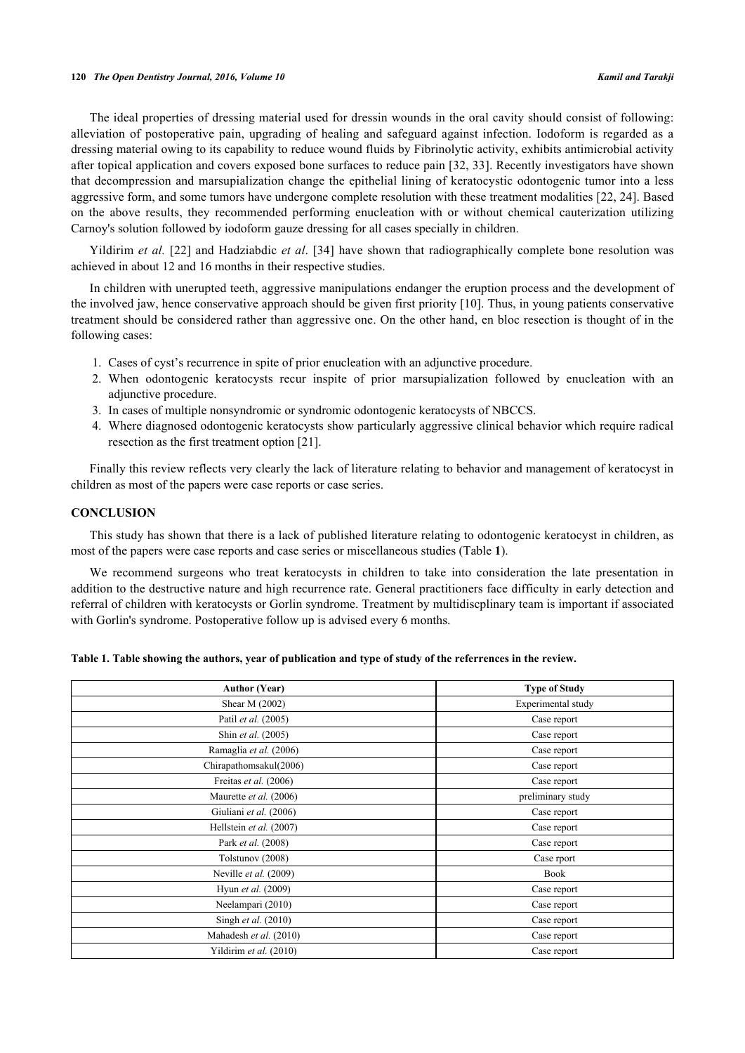# **120** *The Open Dentistry Journal, 2016, Volume 10 Kamil and Tarakji*

The ideal properties of dressing material used for dressin wounds in the oral cavity should consist of following: alleviation of postoperative pain, upgrading of healing and safeguard against infection. Iodoform is regarded as a dressing material owing to its capability to reduce wound fluids by Fibrinolytic activity, exhibits antimicrobial activity after topical application and covers exposed bone surfaces to reduce pain [\[32](#page-5-18), [33\]](#page-5-19). Recently investigators have shown that decompression and marsupialization change the epithelial lining of keratocystic odontogenic tumor into a less aggressive form, and some tumors have undergone complete resolution with these treatment modalities [\[22](#page-5-9), [24](#page-5-15)]. Based on the above results, they recommended performing enucleation with or without chemical cauterization utilizing Carnoy's solution followed by iodoform gauze dressing for all cases specially in children.

Yildirim *et al.* [\[22](#page-5-9)] and Hadziabdic *et al.* [[34\]](#page-6-0) have shown that radiographically complete bone resolution was achieved in about 12 and 16 months in their respective studies.

In children with unerupted teeth, aggressive manipulations endanger the eruption process and the development of the involved jaw, hence conservative approach should be given first priority [[10](#page-4-11)]. Thus, in young patients conservative treatment should be considered rather than aggressive one. On the other hand, en bloc resection is thought of in the following cases:

- 1. Cases of cyst's recurrence in spite of prior enucleation with an adjunctive procedure.
- 2. When odontogenic keratocysts recur inspite of prior marsupialization followed by enucleation with an adjunctive procedure.
- 3. In cases of multiple nonsyndromic or syndromic odontogenic keratocysts of NBCCS.
- 4. Where diagnosed odontogenic keratocysts show particularly aggressive clinical behavior which require radical resection as the first treatment option [\[21](#page-5-8)].

Finally this review reflects very clearly the lack of literature relating to behavior and management of keratocyst in children as most of the papers were case reports or case series.

# **CONCLUSION**

This study has shown that there is a lack of published literature relating to odontogenic keratocyst in children, as most of the papers were case reports and case series or miscellaneous studies (Table **[1](#page-3-0)**).

We recommend surgeons who treat keratocysts in children to take into consideration the late presentation in addition to the destructive nature and high recurrence rate. General practitioners face difficulty in early detection and referral of children with keratocysts or Gorlin syndrome. Treatment by multidiscplinary team is important if associated with Gorlin's syndrome. Postoperative follow up is advised every 6 months.

<span id="page-3-0"></span>

|  |  |  | Table 1. Table showing the authors, year of publication and type of study of the referrences in the review. |  |  |  |  |
|--|--|--|-------------------------------------------------------------------------------------------------------------|--|--|--|--|
|--|--|--|-------------------------------------------------------------------------------------------------------------|--|--|--|--|

| <b>Author (Year)</b>    | <b>Type of Study</b> |  |  |  |
|-------------------------|----------------------|--|--|--|
| Shear M (2002)          | Experimental study   |  |  |  |
| Patil et al. (2005)     | Case report          |  |  |  |
| Shin et al. (2005)      | Case report          |  |  |  |
| Ramaglia et al. (2006)  | Case report          |  |  |  |
| Chirapathomsakul(2006)  | Case report          |  |  |  |
| Freitas et al. (2006)   | Case report          |  |  |  |
| Maurette et al. (2006)  | preliminary study    |  |  |  |
| Giuliani et al. (2006)  | Case report          |  |  |  |
| Hellstein et al. (2007) | Case report          |  |  |  |
| Park et al. (2008)      | Case report          |  |  |  |
| Tolstunov (2008)        | Case rport           |  |  |  |
| Neville et al. (2009)   | <b>Book</b>          |  |  |  |
| Hyun et al. (2009)      | Case report          |  |  |  |
| Neelampari (2010)       | Case report          |  |  |  |
| Singh et al. (2010)     | Case report          |  |  |  |
| Mahadesh et al. (2010)  | Case report          |  |  |  |
| Yildirim et al. (2010)  | Case report          |  |  |  |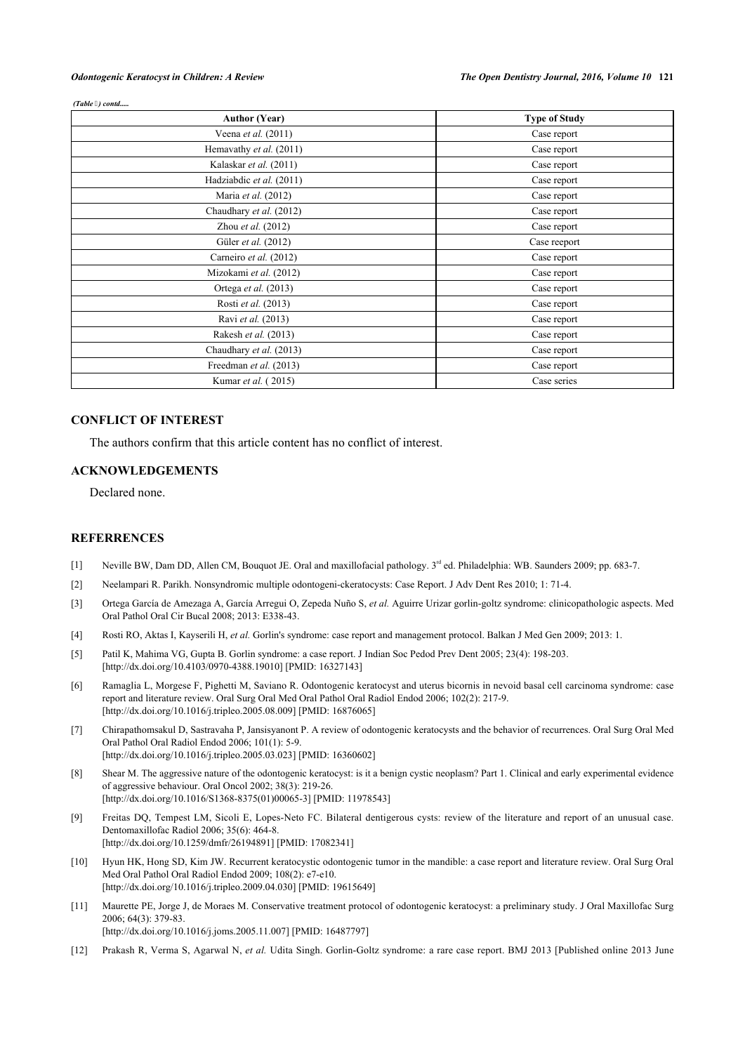#### *(Table ) contd.....*

| <b>Author (Year)</b>     | <b>Type of Study</b> |  |  |
|--------------------------|----------------------|--|--|
| Veena et al. (2011)      | Case report          |  |  |
| Hemavathy et al. (2011)  | Case report          |  |  |
| Kalaskar et al. (2011)   | Case report          |  |  |
| Hadziabdic et al. (2011) | Case report          |  |  |
| Maria et al. (2012)      | Case report          |  |  |
| Chaudhary et al. (2012)  | Case report          |  |  |
| Zhou et al. (2012)       | Case report          |  |  |
| Güler et al. (2012)      | Case reeport         |  |  |
| Carneiro et al. (2012)   | Case report          |  |  |
| Mizokami et al. (2012)   | Case report          |  |  |
| Ortega et al. (2013)     | Case report          |  |  |
| Rosti et al. (2013)      | Case report          |  |  |
| Ravi et al. (2013)       | Case report          |  |  |
| Rakesh et al. (2013)     | Case report          |  |  |
| Chaudhary et al. (2013)  | Case report          |  |  |
| Freedman et al. (2013)   | Case report          |  |  |
| Kumar et al. (2015)      | Case series          |  |  |

# **CONFLICT OF INTEREST**

The authors confirm that this article content has no conflict of interest.

# **ACKNOWLEDGEMENTS**

Declared none.

# **REFERRENCES**

- <span id="page-4-0"></span>[1] Neville BW, Dam DD, Allen CM, Bouquot JE. Oral and maxillofacial pathology. 3<sup>rd</sup> ed. Philadelphia: WB. Saunders 2009; pp. 683-7.
- <span id="page-4-1"></span>[2] Neelampari R. Parikh. Nonsyndromic multiple odontogeni-ckeratocysts: Case Report. J Adv Dent Res 2010; 1: 71-4.
- <span id="page-4-2"></span>[3] Ortega García de Amezaga A, García Arregui O, Zepeda Nuño S, *et al.* Aguirre Urizar gorlin-goltz syndrome: clinicopathologic aspects. Med Oral Pathol Oral Cir Bucal 2008; 2013: E338-43.
- <span id="page-4-3"></span>[4] Rosti RO, Aktas I, Kayserili H, *et al.* Gorlin's syndrome: case report and management protocol. Balkan J Med Gen 2009; 2013: 1.
- <span id="page-4-4"></span>[5] Patil K, Mahima VG, Gupta B. Gorlin syndrome: a case report. J Indian Soc Pedod Prev Dent 2005; 23(4): 198-203. [\[http://dx.doi.org/10.4103/0970-4388.19010](http://dx.doi.org/10.4103/0970-4388.19010)] [PMID: [16327143](http://www.ncbi.nlm.nih.gov/pubmed/16327143)]
- <span id="page-4-5"></span>[6] Ramaglia L, Morgese F, Pighetti M, Saviano R. Odontogenic keratocyst and uterus bicornis in nevoid basal cell carcinoma syndrome: case report and literature review. Oral Surg Oral Med Oral Pathol Oral Radiol Endod 2006; 102(2): 217-9. [\[http://dx.doi.org/10.1016/j.tripleo.2005.08.009\]](http://dx.doi.org/10.1016/j.tripleo.2005.08.009) [PMID: [16876065](http://www.ncbi.nlm.nih.gov/pubmed/16876065)]
- <span id="page-4-6"></span>[7] Chirapathomsakul D, Sastravaha P, Jansisyanont P. A review of odontogenic keratocysts and the behavior of recurrences. Oral Surg Oral Med Oral Pathol Oral Radiol Endod 2006; 101(1): 5-9. [\[http://dx.doi.org/10.1016/j.tripleo.2005.03.023\]](http://dx.doi.org/10.1016/j.tripleo.2005.03.023) [PMID: [16360602](http://www.ncbi.nlm.nih.gov/pubmed/16360602)]
- <span id="page-4-7"></span>[8] Shear M. The aggressive nature of the odontogenic keratocyst: is it a benign cystic neoplasm? Part 1. Clinical and early experimental evidence of aggressive behaviour. Oral Oncol 2002; 38(3): 219-26. [\[http://dx.doi.org/10.1016/S1368-8375\(01\)00065-3\]](http://dx.doi.org/10.1016/S1368-8375(01)00065-3) [PMID: [11978543](http://www.ncbi.nlm.nih.gov/pubmed/11978543)]
- <span id="page-4-8"></span>[9] Freitas DQ, Tempest LM, Sicoli E, Lopes-Neto FC. Bilateral dentigerous cysts: review of the literature and report of an unusual case. Dentomaxillofac Radiol 2006; 35(6): 464-8. [\[http://dx.doi.org/10.1259/dmfr/26194891\]](http://dx.doi.org/10.1259/dmfr/26194891) [PMID: [17082341](http://www.ncbi.nlm.nih.gov/pubmed/17082341)]
- <span id="page-4-11"></span>[10] Hyun HK, Hong SD, Kim JW. Recurrent keratocystic odontogenic tumor in the mandible: a case report and literature review. Oral Surg Oral Med Oral Pathol Oral Radiol Endod 2009; 108(2): e7-e10. [\[http://dx.doi.org/10.1016/j.tripleo.2009.04.030\]](http://dx.doi.org/10.1016/j.tripleo.2009.04.030) [PMID: [19615649](http://www.ncbi.nlm.nih.gov/pubmed/19615649)]
- <span id="page-4-9"></span>[11] Maurette PE, Jorge J, de Moraes M. Conservative treatment protocol of odontogenic keratocyst: a preliminary study. J Oral Maxillofac Surg 2006; 64(3): 379-83. [\[http://dx.doi.org/10.1016/j.joms.2005.11.007\]](http://dx.doi.org/10.1016/j.joms.2005.11.007) [PMID: [16487797](http://www.ncbi.nlm.nih.gov/pubmed/16487797)]
- <span id="page-4-10"></span>[12] Prakash R, Verma S, Agarwal N, *et al.* Udita Singh. Gorlin-Goltz syndrome: a rare case report. BMJ 2013 [Published online 2013 June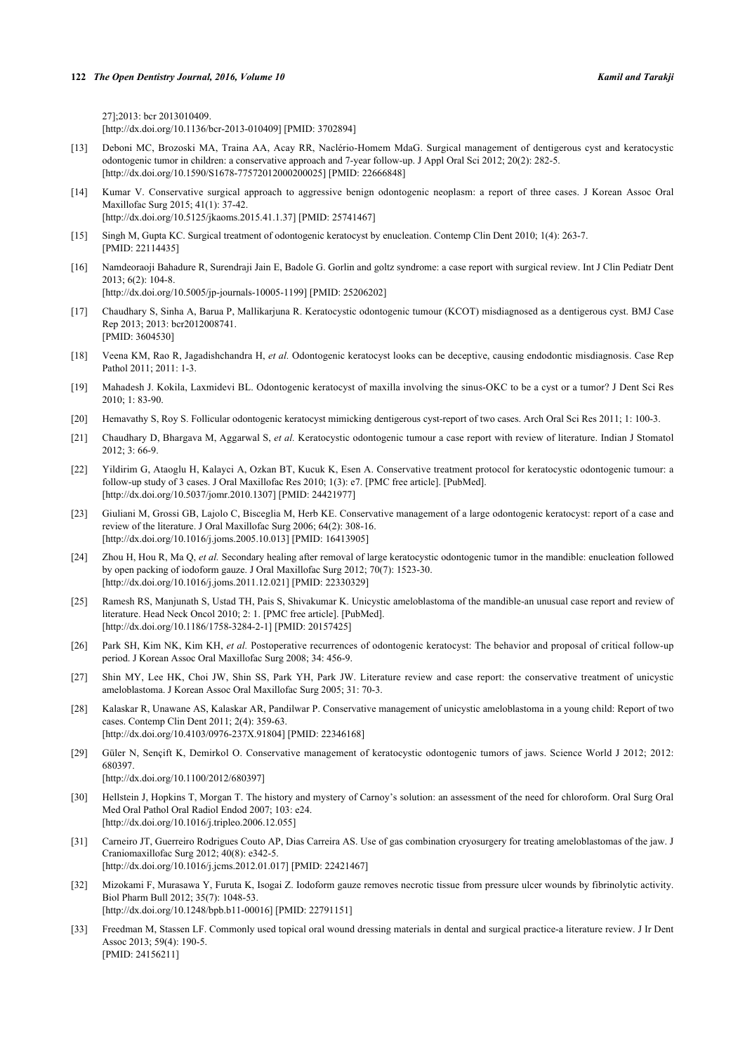27];2013: bcr 2013010409. [\[http://dx.doi.org/10.1136/bcr-2013-010409](http://dx.doi.org/10.1136/bcr-2013-010409)] [PMID: [3702894\]](http://www.ncbi.nlm.nih.gov/pubmed/3702894)

- <span id="page-5-0"></span>[13] Deboni MC, Brozoski MA, Traina AA, Acay RR, Naclério-Homem MdaG. Surgical management of dentigerous cyst and keratocystic odontogenic tumor in children: a conservative approach and 7-year follow-up. J Appl Oral Sci 2012; 20(2): 282-5. [\[http://dx.doi.org/10.1590/S1678-77572012000200025\]](http://dx.doi.org/10.1590/S1678-77572012000200025) [PMID: [22666848](http://www.ncbi.nlm.nih.gov/pubmed/22666848)]
- <span id="page-5-1"></span>[14] Kumar V. Conservative surgical approach to aggressive benign odontogenic neoplasm: a report of three cases. J Korean Assoc Oral Maxillofac Surg 2015; 41(1): 37-42. [\[http://dx.doi.org/10.5125/jkaoms.2015.41.1.37\]](http://dx.doi.org/10.5125/jkaoms.2015.41.1.37) [PMID: [25741467](http://www.ncbi.nlm.nih.gov/pubmed/25741467)]
- <span id="page-5-2"></span>[15] Singh M, Gupta KC. Surgical treatment of odontogenic keratocyst by enucleation. Contemp Clin Dent 2010; 1(4): 263-7. [PMID: [22114435\]](http://www.ncbi.nlm.nih.gov/pubmed/22114435)
- <span id="page-5-3"></span>[16] Namdeoraoji Bahadure R, Surendraji Jain E, Badole G. Gorlin and goltz syndrome: a case report with surgical review. Int J Clin Pediatr Dent 2013; 6(2): 104-8. [\[http://dx.doi.org/10.5005/jp-journals-10005-1199\]](http://dx.doi.org/10.5005/jp-journals-10005-1199) [PMID: [25206202](http://www.ncbi.nlm.nih.gov/pubmed/25206202)]
- <span id="page-5-4"></span>[17] Chaudhary S, Sinha A, Barua P, Mallikarjuna R. Keratocystic odontogenic tumour (KCOT) misdiagnosed as a dentigerous cyst. BMJ Case Rep 2013; 2013: bcr2012008741. [PMID: [3604530\]](http://www.ncbi.nlm.nih.gov/pubmed/3604530)
- <span id="page-5-5"></span>[18] Veena KM, Rao R, Jagadishchandra H, *et al.* Odontogenic keratocyst looks can be deceptive, causing endodontic misdiagnosis. Case Rep Pathol 2011; 2011: 1-3.
- <span id="page-5-6"></span>[19] Mahadesh J. Kokila, Laxmidevi BL. Odontogenic keratocyst of maxilla involving the sinus-OKC to be a cyst or a tumor? J Dent Sci Res 2010; 1: 83-90.
- <span id="page-5-7"></span>[20] Hemavathy S, Roy S. Follicular odontogenic keratocyst mimicking dentigerous cyst-report of two cases. Arch Oral Sci Res 2011; 1: 100-3.
- <span id="page-5-8"></span>[21] Chaudhary D, Bhargava M, Aggarwal S, *et al.* Keratocystic odontogenic tumour a case report with review of literature. Indian J Stomatol 2012; 3: 66-9.
- <span id="page-5-9"></span>[22] Yildirim G, Ataoglu H, Kalayci A, Ozkan BT, Kucuk K, Esen A. Conservative treatment protocol for keratocystic odontogenic tumour: a follow-up study of 3 cases. J Oral Maxillofac Res 2010; 1(3): e7. [PMC free article]. [PubMed]. [\[http://dx.doi.org/10.5037/jomr.2010.1307\]](http://dx.doi.org/10.5037/jomr.2010.1307) [PMID: [24421977](http://www.ncbi.nlm.nih.gov/pubmed/24421977)]
- <span id="page-5-11"></span>[23] Giuliani M, Grossi GB, Lajolo C, Bisceglia M, Herb KE. Conservative management of a large odontogenic keratocyst: report of a case and review of the literature. J Oral Maxillofac Surg 2006; 64(2): 308-16. [\[http://dx.doi.org/10.1016/j.joms.2005.10.013\]](http://dx.doi.org/10.1016/j.joms.2005.10.013) [PMID: [16413905](http://www.ncbi.nlm.nih.gov/pubmed/16413905)]
- <span id="page-5-15"></span>[24] Zhou H, Hou R, Ma Q, *et al.* Secondary healing after removal of large keratocystic odontogenic tumor in the mandible: enucleation followed by open packing of iodoform gauze. J Oral Maxillofac Surg 2012; 70(7): 1523-30. [\[http://dx.doi.org/10.1016/j.joms.2011.12.021\]](http://dx.doi.org/10.1016/j.joms.2011.12.021) [PMID: [22330329](http://www.ncbi.nlm.nih.gov/pubmed/22330329)]
- <span id="page-5-14"></span>[25] Ramesh RS, Manjunath S, Ustad TH, Pais S, Shivakumar K. Unicystic ameloblastoma of the mandible-an unusual case report and review of literature. Head Neck Oncol 2010; 2: 1. [PMC free article]. [PubMed]. [\[http://dx.doi.org/10.1186/1758-3284-2-1\]](http://dx.doi.org/10.1186/1758-3284-2-1) [PMID: [20157425](http://www.ncbi.nlm.nih.gov/pubmed/20157425)]
- [26] Park SH, Kim NK, Kim KH, *et al.* Postoperative recurrences of odontogenic keratocyst: The behavior and proposal of critical follow-up period. J Korean Assoc Oral Maxillofac Surg 2008; 34: 456-9.
- <span id="page-5-10"></span>[27] Shin MY, Lee HK, Choi JW, Shin SS, Park YH, Park JW. Literature review and case report: the conservative treatment of unicystic ameloblastoma. J Korean Assoc Oral Maxillofac Surg 2005; 31: 70-3.
- <span id="page-5-12"></span>[28] Kalaskar R, Unawane AS, Kalaskar AR, Pandilwar P. Conservative management of unicystic ameloblastoma in a young child: Report of two cases. Contemp Clin Dent 2011; 2(4): 359-63. [\[http://dx.doi.org/10.4103/0976-237X.91804](http://dx.doi.org/10.4103/0976-237X.91804)] [PMID: [22346168\]](http://www.ncbi.nlm.nih.gov/pubmed/22346168)
- <span id="page-5-13"></span>[29] Güler N, Sençift K, Demirkol O. Conservative management of keratocystic odontogenic tumors of jaws. Science World J 2012; 2012: 680397. [\[http://dx.doi.org/10.1100/2012/680397](http://dx.doi.org/10.1100/2012/680397)]
- <span id="page-5-16"></span>[30] Hellstein J, Hopkins T, Morgan T. The history and mystery of Carnoy's solution: an assessment of the need for chloroform. Oral Surg Oral Med Oral Pathol Oral Radiol Endod 2007; 103: e24. [\[http://dx.doi.org/10.1016/j.tripleo.2006.12.055\]](http://dx.doi.org/10.1016/j.tripleo.2006.12.055)
- <span id="page-5-17"></span>[31] Carneiro JT, Guerreiro Rodrigues Couto AP, Dias Carreira AS. Use of gas combination cryosurgery for treating ameloblastomas of the jaw. J Craniomaxillofac Surg 2012; 40(8): e342-5. [\[http://dx.doi.org/10.1016/j.jcms.2012.01.017](http://dx.doi.org/10.1016/j.jcms.2012.01.017)] [PMID: [22421467\]](http://www.ncbi.nlm.nih.gov/pubmed/22421467)
- <span id="page-5-18"></span>[32] Mizokami F, Murasawa Y, Furuta K, Isogai Z. Iodoform gauze removes necrotic tissue from pressure ulcer wounds by fibrinolytic activity. Biol Pharm Bull 2012; 35(7): 1048-53. [\[http://dx.doi.org/10.1248/bpb.b11-00016](http://dx.doi.org/10.1248/bpb.b11-00016)] [PMID: [22791151](http://www.ncbi.nlm.nih.gov/pubmed/22791151)]
- <span id="page-5-19"></span>[33] Freedman M, Stassen LF. Commonly used topical oral wound dressing materials in dental and surgical practice-a literature review. J Ir Dent Assoc 2013; 59(4): 190-5. [PMID: [24156211\]](http://www.ncbi.nlm.nih.gov/pubmed/24156211)